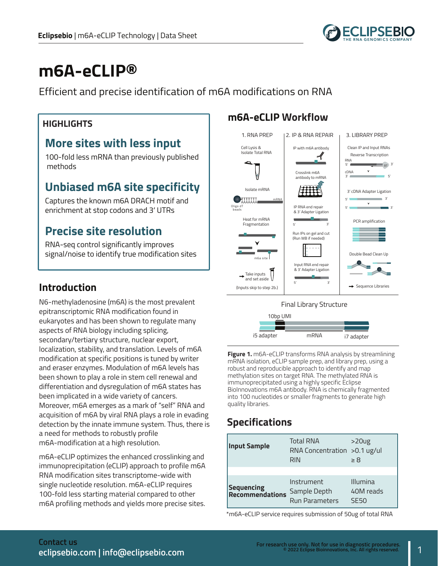

# **m6A-eCLIP®**

Efficient and precise identification of m6A modifications on RNA

#### **More sites with less input**

100-fold less mRNA than previously published methods

# **Unbiased m6A site specificity**

Captures the known m6A DRACH motif and enrichment at stop codons and 3' UTRs

# **Precise site resolution**

RNA-seq control significantly improves signal/noise to identify true modification sites

#### **Introduction**

N6-methyladenosine (m6A) is the most prevalent epitranscriptomic RNA modification found in eukaryotes and has been shown to regulate many aspects of RNA biology including splicing, secondary/tertiary structure, nuclear export, localization, stability, and translation. Levels of m6A modification at specific positions is tuned by writer and eraser enzymes. Modulation of m6A levels has been shown to play a role in stem cell renewal and differentiation and dysregulation of m6A states has been implicated in a wide variety of cancers. Moreover, m6A emerges as a mark of "self" RNA and acquisition of m6A by viral RNA plays a role in evading detection by the innate immune system. Thus, there is a need for methods to robustly profile m6A-modification at a high resolution.

m6A-eCLIP optimizes the enhanced crosslinking and immunoprecipitation (eCLIP) approach to profile m6A RNA modification sites transcriptome-wide with single nucleotide resolution. m6A-eCLIP requires 100-fold less starting material compared to other m6A profiling methods and yields more precise sites.

# **m6A-eCLIP Workflow HIGHLIGHTS**





**Figure 1.** m6A-eCLIP transforms RNA analysis by streamlining mRNA isolation, eCLIP sample prep, and library prep, using a robust and reproducible approach to identify and map methylation sites on target RNA. The methylated RNA is immunoprecipitated using a highly specific Eclipse BioInnovations m6A antibody. RNA is chemically fragmented into 100 nucleotides or smaller fragments to generate high quality libraries.

# **Specifications**

| <b>Input Sample</b>           | <b>Total RNA</b><br>RNA Concentration > 0.1 ug/ul<br><b>RIN</b> | $>20$ ug<br>$\geq 8$          |
|-------------------------------|-----------------------------------------------------------------|-------------------------------|
| Sequencing<br>Recommendations | Instrument<br>Sample Depth<br><b>Run Parameters</b>             | Illumina<br>40M reads<br>SF50 |

\*m6A-eCLIP service requires submission of 50ug of total RNA